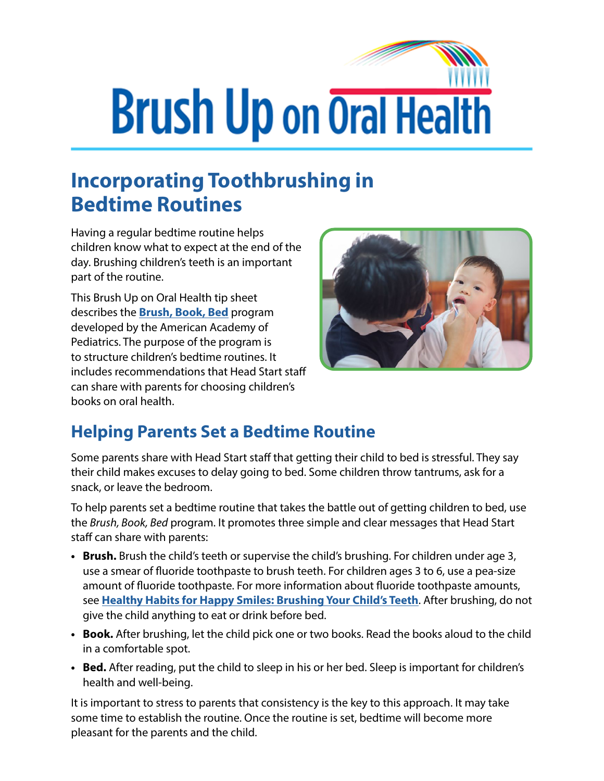## **Brush Up on Oral Health**

## **Incorporating Toothbrushing in Bedtime Routines**

Having a regular bedtime routine helps children know what to expect at the end of the day. Brushing children's teeth is an important part of the routine.

This Brush Up on Oral Health tip sheet describes the **[Brush, Book, Bed](https://www.healthychildren.org/English/healthy-living/oral-health/Pages/Brush-Book-Bed.aspx)** program developed by the American Academy of Pediatrics. The purpose of the program is to structure children's bedtime routines. It includes recommendations that Head Start staff can share with parents for choosing children's books on oral health.



## **Helping Parents Set a Bedtime Routine**

Some parents share with Head Start staff that getting their child to bed is stressful. They say their child makes excuses to delay going to bed. Some children throw tantrums, ask for a snack, or leave the bedroom.

To help parents set a bedtime routine that takes the battle out of getting children to bed, use the *Brush, Book, Bed* program. It promotes three simple and clear messages that Head Start staff can share with parents:

- **• Brush.** Brush the child's teeth or supervise the child's brushing. For children under age 3, use a smear of fluoride toothpaste to brush teeth. For children ages 3 to 6, use a pea-size amount of fluoride toothpaste. For more information about fluoride toothpaste amounts, see **[Healthy Habits for Happy Smiles: Brushing Your Child's Teeth](https://eclkc.ohs.acf.hhs.gov/publication/brushing-your-childs-teeth)**. After brushing, do not give the child anything to eat or drink before bed.
- **• Book.** After brushing, let the child pick one or two books. Read the books aloud to the child in a comfortable spot.
- **• Bed.** After reading, put the child to sleep in his or her bed. Sleep is important for children's health and well-being.

It is important to stress to parents that consistency is the key to this approach. It may take some time to establish the routine. Once the routine is set, bedtime will become more pleasant for the parents and the child.